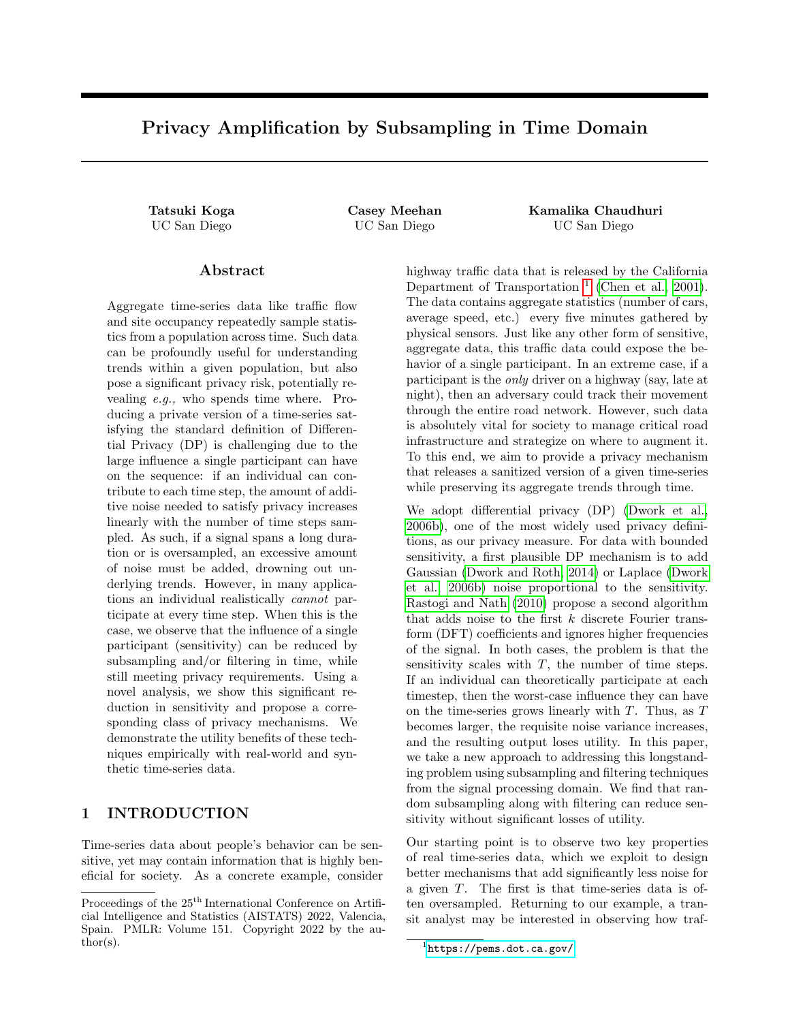# Privacy Amplification by Subsampling in Time Domain

Tatsuki Koga Casey Meehan Kamalika Chaudhuri UC San Diego UC San Diego UC San Diego

## Abstract

Aggregate time-series data like traffic flow and site occupancy repeatedly sample statistics from a population across time. Such data can be profoundly useful for understanding trends within a given population, but also pose a significant privacy risk, potentially revealing e.g., who spends time where. Producing a private version of a time-series satisfying the standard definition of Differential Privacy (DP) is challenging due to the large influence a single participant can have on the sequence: if an individual can contribute to each time step, the amount of additive noise needed to satisfy privacy increases linearly with the number of time steps sampled. As such, if a signal spans a long duration or is oversampled, an excessive amount of noise must be added, drowning out underlying trends. However, in many applications an individual realistically cannot participate at every time step. When this is the case, we observe that the influence of a single participant (sensitivity) can be reduced by subsampling and/or filtering in time, while still meeting privacy requirements. Using a novel analysis, we show this significant reduction in sensitivity and propose a corresponding class of privacy mechanisms. We demonstrate the utility benefits of these techniques empirically with real-world and synthetic time-series data.

## 1 INTRODUCTION

Time-series data about people's behavior can be sensitive, yet may contain information that is highly beneficial for society. As a concrete example, consider highway traffic data that is released by the California Department of Transportation<sup>[1](#page-0-0)</sup> [\(Chen et al., 2001\)](#page-8-0). The data contains aggregate statistics (number of cars, average speed, etc.) every five minutes gathered by physical sensors. Just like any other form of sensitive, aggregate data, this traffic data could expose the behavior of a single participant. In an extreme case, if a participant is the only driver on a highway (say, late at night), then an adversary could track their movement through the entire road network. However, such data is absolutely vital for society to manage critical road infrastructure and strategize on where to augment it. To this end, we aim to provide a privacy mechanism that releases a sanitized version of a given time-series while preserving its aggregate trends through time.

We adopt differential privacy (DP) [\(Dwork et al.,](#page-8-1) [2006b\)](#page-8-1), one of the most widely used privacy definitions, as our privacy measure. For data with bounded sensitivity, a first plausible DP mechanism is to add Gaussian [\(Dwork and Roth, 2014\)](#page-8-2) or Laplace [\(Dwork](#page-8-1) [et al., 2006b\)](#page-8-1) noise proportional to the sensitivity. [Rastogi and Nath](#page-9-0) [\(2010\)](#page-9-0) propose a second algorithm that adds noise to the first  $k$  discrete Fourier transform (DFT) coefficients and ignores higher frequencies of the signal. In both cases, the problem is that the sensitivity scales with  $T$ , the number of time steps. If an individual can theoretically participate at each timestep, then the worst-case influence they can have on the time-series grows linearly with  $T$ . Thus, as  $T$ becomes larger, the requisite noise variance increases, and the resulting output loses utility. In this paper, we take a new approach to addressing this longstanding problem using subsampling and filtering techniques from the signal processing domain. We find that random subsampling along with filtering can reduce sensitivity without significant losses of utility.

Our starting point is to observe two key properties of real time-series data, which we exploit to design better mechanisms that add significantly less noise for a given T. The first is that time-series data is often oversampled. Returning to our example, a transit analyst may be interested in observing how traf-

Proceedings of the  $25<sup>th</sup>$  International Conference on Artificial Intelligence and Statistics (AISTATS) 2022, Valencia, Spain. PMLR: Volume 151. Copyright 2022 by the author(s).

<span id="page-0-0"></span><sup>1</sup> <https://pems.dot.ca.gov/>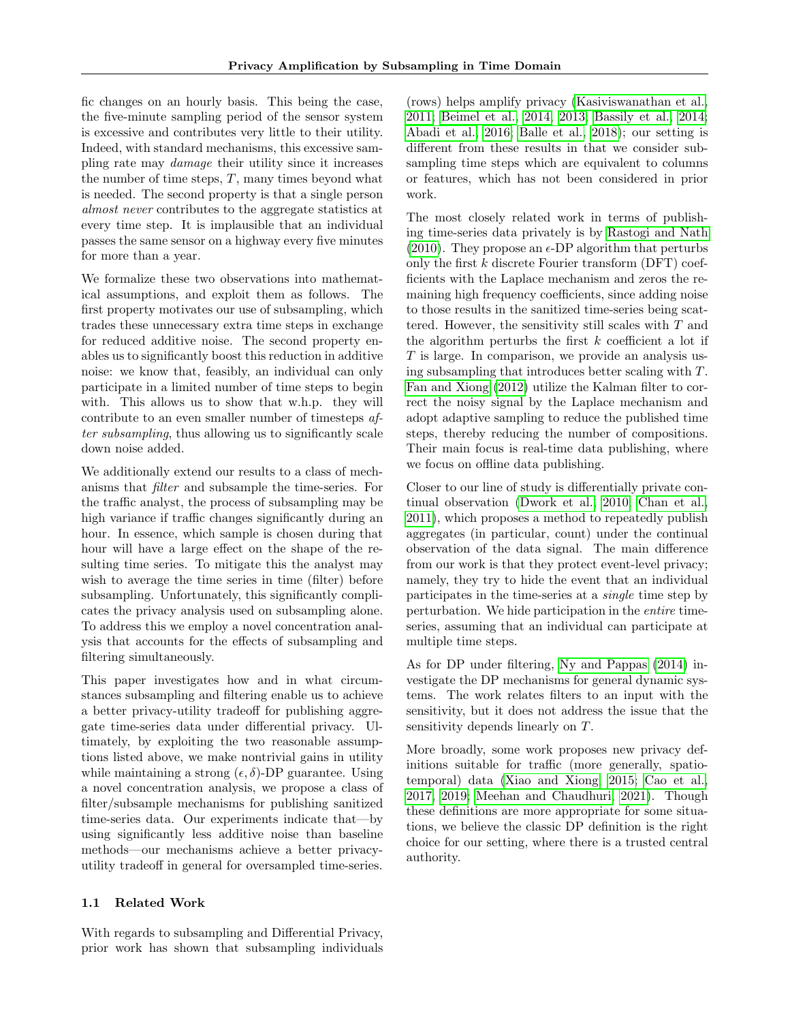fic changes on an hourly basis. This being the case, the five-minute sampling period of the sensor system is excessive and contributes very little to their utility. Indeed, with standard mechanisms, this excessive sampling rate may damage their utility since it increases the number of time steps,  $T$ , many times beyond what is needed. The second property is that a single person almost never contributes to the aggregate statistics at every time step. It is implausible that an individual passes the same sensor on a highway every five minutes for more than a year.

We formalize these two observations into mathematical assumptions, and exploit them as follows. The first property motivates our use of subsampling, which trades these unnecessary extra time steps in exchange for reduced additive noise. The second property enables us to significantly boost this reduction in additive noise: we know that, feasibly, an individual can only participate in a limited number of time steps to begin with. This allows us to show that w.h.p. they will contribute to an even smaller number of timesteps after subsampling, thus allowing us to significantly scale down noise added.

We additionally extend our results to a class of mechanisms that filter and subsample the time-series. For the traffic analyst, the process of subsampling may be high variance if traffic changes significantly during an hour. In essence, which sample is chosen during that hour will have a large effect on the shape of the resulting time series. To mitigate this the analyst may wish to average the time series in time (filter) before subsampling. Unfortunately, this significantly complicates the privacy analysis used on subsampling alone. To address this we employ a novel concentration analysis that accounts for the effects of subsampling and filtering simultaneously.

This paper investigates how and in what circumstances subsampling and filtering enable us to achieve a better privacy-utility tradeoff for publishing aggregate time-series data under differential privacy. Ultimately, by exploiting the two reasonable assumptions listed above, we make nontrivial gains in utility while maintaining a strong  $(\epsilon, \delta)$ -DP guarantee. Using a novel concentration analysis, we propose a class of filter/subsample mechanisms for publishing sanitized time-series data. Our experiments indicate that—by using significantly less additive noise than baseline methods—our mechanisms achieve a better privacyutility tradeoff in general for oversampled time-series.

#### 1.1 Related Work

With regards to subsampling and Differential Privacy, prior work has shown that subsampling individuals (rows) helps amplify privacy [\(Kasiviswanathan et al.,](#page-8-3) [2011;](#page-8-3) [Beimel et al., 2014,](#page-8-4) [2013;](#page-8-5) [Bassily et al., 2014;](#page-8-6) [Abadi et al., 2016;](#page-8-7) [Balle et al., 2018\)](#page-8-8); our setting is different from these results in that we consider subsampling time steps which are equivalent to columns or features, which has not been considered in prior work.

The most closely related work in terms of publishing time-series data privately is by [Rastogi and Nath](#page-9-0) [\(2010\)](#page-9-0). They propose an  $\epsilon$ -DP algorithm that perturbs only the first  $k$  discrete Fourier transform (DFT) coefficients with the Laplace mechanism and zeros the remaining high frequency coefficients, since adding noise to those results in the sanitized time-series being scattered. However, the sensitivity still scales with  $T$  and the algorithm perturbs the first  $k$  coefficient a lot if  $T$  is large. In comparison, we provide an analysis using subsampling that introduces better scaling with T. [Fan and Xiong](#page-8-9) [\(2012\)](#page-8-9) utilize the Kalman filter to correct the noisy signal by the Laplace mechanism and adopt adaptive sampling to reduce the published time steps, thereby reducing the number of compositions. Their main focus is real-time data publishing, where we focus on offline data publishing.

Closer to our line of study is differentially private continual observation [\(Dwork et al., 2010;](#page-8-10) [Chan et al.,](#page-8-11) [2011\)](#page-8-11), which proposes a method to repeatedly publish aggregates (in particular, count) under the continual observation of the data signal. The main difference from our work is that they protect event-level privacy; namely, they try to hide the event that an individual participates in the time-series at a single time step by perturbation. We hide participation in the entire timeseries, assuming that an individual can participate at multiple time steps.

As for DP under filtering, [Ny and Pappas](#page-9-1) [\(2014\)](#page-9-1) investigate the DP mechanisms for general dynamic systems. The work relates filters to an input with the sensitivity, but it does not address the issue that the sensitivity depends linearly on T.

More broadly, some work proposes new privacy definitions suitable for traffic (more generally, spatiotemporal) data [\(Xiao and Xiong, 2015;](#page-9-2) [Cao et al.,](#page-8-12) [2017,](#page-8-12) [2019;](#page-8-13) [Meehan and Chaudhuri, 2021\)](#page-9-3). Though these definitions are more appropriate for some situations, we believe the classic DP definition is the right choice for our setting, where there is a trusted central authority.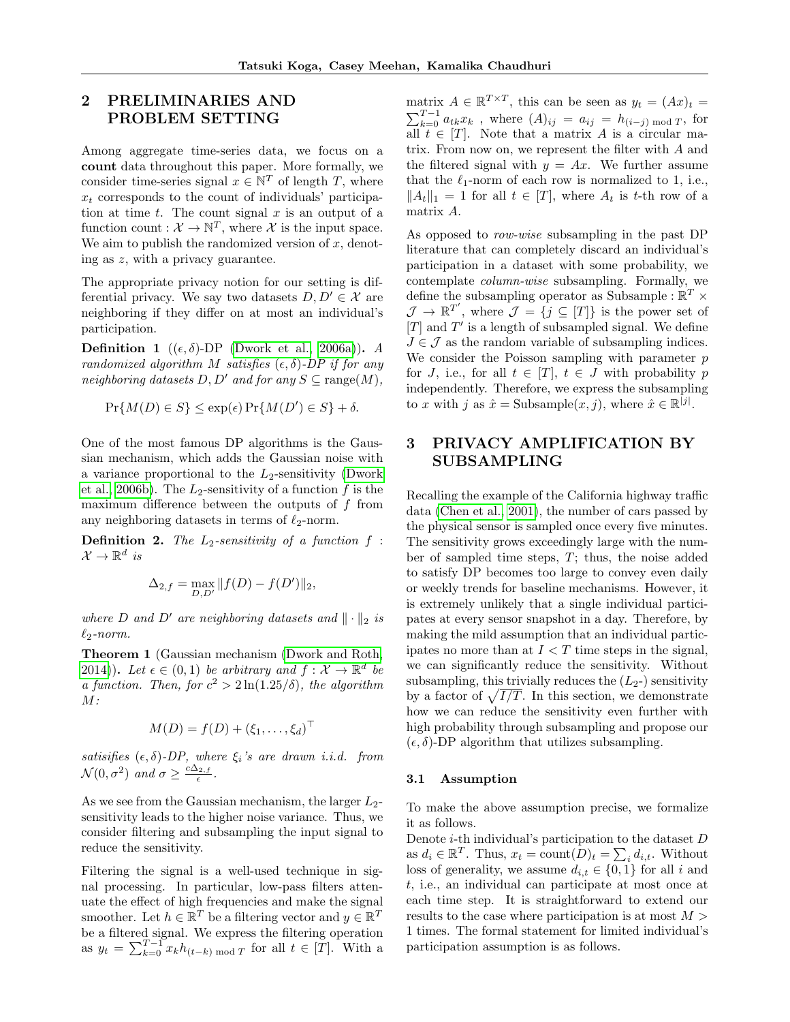## <span id="page-2-0"></span>2 PRELIMINARIES AND PROBLEM SETTING

Among aggregate time-series data, we focus on a count data throughout this paper. More formally, we consider time-series signal  $x \in \mathbb{N}^T$  of length T, where  $x_t$  corresponds to the count of individuals' participation at time  $t$ . The count signal  $x$  is an output of a function count :  $\mathcal{X} \to \mathbb{N}^T$ , where  $\mathcal{X}$  is the input space. We aim to publish the randomized version of  $x$ , denoting as z, with a privacy guarantee.

The appropriate privacy notion for our setting is differential privacy. We say two datasets  $D, D' \in \mathcal{X}$  are neighboring if they differ on at most an individual's participation.

**Definition 1** ( $(\epsilon, \delta)$ -DP [\(Dwork et al., 2006a\)](#page-8-14)). A randomized algorithm M satisfies  $(\epsilon, \delta)$ -DP if for any neighboring datasets  $D, D'$  and for any  $S \subseteq \text{range}(M)$ ,

$$
\Pr\{M(D) \in S\} \le \exp(\epsilon) \Pr\{M(D') \in S\} + \delta.
$$

One of the most famous DP algorithms is the Gaussian mechanism, which adds the Gaussian noise with a variance proportional to the  $L_2$ -sensitivity [\(Dwork](#page-8-1) [et al., 2006b\)](#page-8-1). The  $L_2$ -sensitivity of a function f is the maximum difference between the outputs of  $f$  from any neighboring datasets in terms of  $\ell_2$ -norm.

**Definition 2.** The  $L_2$ -sensitivity of a function  $f$ :  $\mathcal{X} \to \mathbb{R}^d$  is

$$
\Delta_{2,f} = \max_{D,D'} ||f(D) - f(D')||_2,
$$

where D and D' are neighboring datasets and  $\|\cdot\|_2$  is  $\ell_2$ -norm.

Theorem 1 (Gaussian mechanism [\(Dwork and Roth,](#page-8-2) [2014\)](#page-8-2)). Let  $\epsilon \in (0,1)$  be arbitrary and  $f: \mathcal{X} \to \mathbb{R}^d$  be a function. Then, for  $c^2 > 2 \ln(1.25/\delta)$ , the algorithm  $M$ :

$$
M(D) = f(D) + (\xi_1, \dots, \xi_d)^\top
$$

satisifies  $(\epsilon, \delta)$ -DP, where  $\xi_i$ 's are drawn i.i.d. from  $\mathcal{N}(0, \sigma^2)$  and  $\sigma \geq \frac{c\Delta_{2,f}}{\epsilon}$ .

As we see from the Gaussian mechanism, the larger  $L_2$ sensitivity leads to the higher noise variance. Thus, we consider filtering and subsampling the input signal to reduce the sensitivity.

Filtering the signal is a well-used technique in signal processing. In particular, low-pass filters attenuate the effect of high frequencies and make the signal smoother. Let  $h \in \mathbb{R}^T$  be a filtering vector and  $y \in \mathbb{R}^T$ be a filtered signal. We express the filtering operation as  $y_t = \sum_{k=0}^{T-1} x_k h_{(t-k) \mod T}$  for all  $t \in [T]$ . With a

matrix  $A \in \mathbb{R}^{T \times T}$ , this can be seen as  $y_t = (Ax)_t =$  $\sum_{k=0}^{T-1} a_{tk}x_k$ , where  $(A)_{ij} = a_{ij} = h_{(i-j) \bmod T}$ , for all  $t \in [T]$ . Note that a matrix A is a circular matrix. From now on, we represent the filter with A and the filtered signal with  $y = Ax$ . We further assume that the  $\ell_1$ -norm of each row is normalized to 1, i.e.,  $||A_t||_1 = 1$  for all  $t \in [T]$ , where  $A_t$  is t-th row of a matrix A.

As opposed to row-wise subsampling in the past DP literature that can completely discard an individual's participation in a dataset with some probability, we contemplate column-wise subsampling. Formally, we define the subsampling operator as Subsample :  $\mathbb{R}^T \times$  $\mathcal{J} \to \mathbb{R}^{T'}$ , where  $\mathcal{J} = \{j \subseteq [T]\}$  is the power set of  $[T]$  and  $T'$  is a length of subsampled signal. We define  $J \in \mathcal{J}$  as the random variable of subsampling indices. We consider the Poisson sampling with parameter  $p$ for J, i.e., for all  $t \in [T]$ ,  $t \in J$  with probability p independently. Therefore, we express the subsampling to x with j as  $\hat{x} = \text{Subsample}(x, j)$ , where  $\hat{x} \in \mathbb{R}^{|j|}$ .

# 3 PRIVACY AMPLIFICATION BY SUBSAMPLING

Recalling the example of the California highway traffic data [\(Chen et al., 2001\)](#page-8-0), the number of cars passed by the physical sensor is sampled once every five minutes. The sensitivity grows exceedingly large with the number of sampled time steps, T; thus, the noise added to satisfy DP becomes too large to convey even daily or weekly trends for baseline mechanisms. However, it is extremely unlikely that a single individual participates at every sensor snapshot in a day. Therefore, by making the mild assumption that an individual participates no more than at  $I < T$  time steps in the signal, we can significantly reduce the sensitivity. Without subsampling, this trivially reduces the  $(L<sub>2</sub>-)$  sensitivity by a factor of  $\sqrt{I/T}$ . In this section, we demonstrate how we can reduce the sensitivity even further with high probability through subsampling and propose our  $(\epsilon, \delta)$ -DP algorithm that utilizes subsampling.

### 3.1 Assumption

To make the above assumption precise, we formalize it as follows.

Denote  $i$ -th individual's participation to the dataset  $D$ as  $d_i \in \mathbb{R}^T$ . Thus,  $x_t = \text{count}(D)_t = \sum_i d_{i,t}$ . Without loss of generality, we assume  $d_{i,t} \in \{0,1\}$  for all i and t, i.e., an individual can participate at most once at each time step. It is straightforward to extend our results to the case where participation is at most  $M >$ 1 times. The formal statement for limited individual's participation assumption is as follows.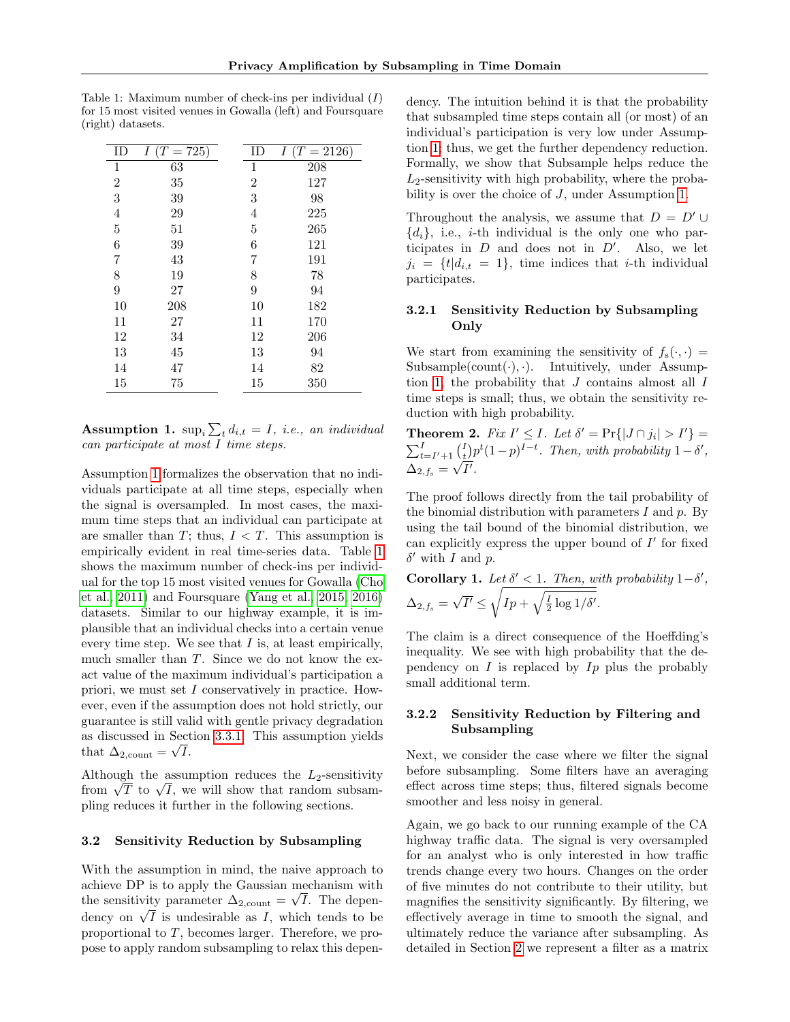| ΙD             | $(T = 725)$<br>Ι | ΙD             | $(T = 2126)$<br>Ι |
|----------------|------------------|----------------|-------------------|
| $\mathbf{1}$   | 63               | 1              | 208               |
| $\overline{2}$ | 35               | $\overline{2}$ | 127               |
| 3              | 39               | 3              | 98                |
| 4              | 29               | 4              | 225               |
| 5              | 51               | 5              | 265               |
| 6              | 39               | 6              | 121               |
| 7              | 43               | 7              | 191               |
| 8              | 19               | 8              | 78                |
| 9              | 27               | 9              | 94                |
| 10             | 208              | 10             | 182               |
| 11             | 27               | 11             | 170               |
| 12             | 34               | 12             | 206               |
| 13             | 45               | 13             | 94                |
| 14             | 47               | 14             | 82                |
| 15             | 75               | 15             | 350               |

<span id="page-3-1"></span>Table 1: Maximum number of check-ins per individual (I) for 15 most visited venues in Gowalla (left) and Foursquare (right) datasets.

<span id="page-3-0"></span>**Assumption 1.**  $\sup_i \sum_t d_{i,t} = I$ , *i.e.*, an individual can participate at most I time steps.

Assumption [1](#page-3-0) formalizes the observation that no individuals participate at all time steps, especially when the signal is oversampled. In most cases, the maximum time steps that an individual can participate at are smaller than  $T$ ; thus,  $I < T$ . This assumption is empirically evident in real time-series data. Table [1](#page-3-1) shows the maximum number of check-ins per individual for the top 15 most visited venues for Gowalla [\(Cho](#page-8-15) [et al., 2011\)](#page-8-15) and Foursquare [\(Yang et al., 2015,](#page-9-4) [2016\)](#page-9-5) datasets. Similar to our highway example, it is implausible that an individual checks into a certain venue every time step. We see that  $I$  is, at least empirically, much smaller than  $T$ . Since we do not know the exact value of the maximum individual's participation a priori, we must set I conservatively in practice. However, even if the assumption does not hold strictly, our guarantee is still valid with gentle privacy degradation as discussed in Section [3.3.1.](#page-5-0) This assumption yields that  $\Delta_{2,\text{count}} = \sqrt{I}$ .

Although the assumption reduces the  $L_2$ -sensitivity from  $\sqrt{T}$  to  $\sqrt{I}$ , we will show that random subsampling reduces it further in the following sections.

#### <span id="page-3-3"></span>3.2 Sensitivity Reduction by Subsampling

With the assumption in mind, the naive approach to achieve DP is to apply the Gaussian mechanism with the sensitivity parameter  $\Delta_{2,\text{count}} = \sqrt{I}$ . The dependency on  $\sqrt{I}$  is undesirable as I, which tends to be proportional to T, becomes larger. Therefore, we propose to apply random subsampling to relax this dependency. The intuition behind it is that the probability that subsampled time steps contain all (or most) of an individual's participation is very low under Assumption [1;](#page-3-0) thus, we get the further dependency reduction. Formally, we show that Subsample helps reduce the  $L_2$ -sensitivity with high probability, where the probability is over the choice of J, under Assumption [1.](#page-3-0)

Throughout the analysis, we assume that  $D = D' \cup$  ${d_i}$ , i.e., *i*-th individual is the only one who participates in  $D$  and does not in  $D'$ . Also, we let  $j_i = \{t | d_{i,t} = 1\}$ , time indices that *i*-th individual participates.

## 3.2.1 Sensitivity Reduction by Subsampling Only

We start from examining the sensitivity of  $f_s(\cdot, \cdot)$  = Subsample(count $(\cdot), \cdot$ ). Intuitively, under Assump-tion [1,](#page-3-0) the probability that  $J$  contains almost all  $I$ time steps is small; thus, we obtain the sensitivity reduction with high probability.

<span id="page-3-2"></span>**Theorem 2.** Fix  $I' \leq I$ . Let  $\delta' = \Pr\{|J \cap j_i\}$ **Theorem 2.** Fix  $I' \leq I$ . Let  $\delta' = \Pr\{|J \cap j_i| > I'\} = \sum_{t=I'+1}^{I} {I \choose t} p^t (1-p)^{I-t}$ . Then, with probability  $1-\delta'$ ,  $\Delta_{2,f_{\rm s}} = \sqrt{I'}$ .

The proof follows directly from the tail probability of the binomial distribution with parameters  $I$  and  $p$ . By using the tail bound of the binomial distribution, we can explicitly express the upper bound of  $I'$  for fixed  $\delta'$  with I and p.

Corollary 1. Let  $\delta' < 1$ . Then, with probability  $1-\delta'$ ,  $\Delta_{2,f_{\mathrm{s}}}=\sqrt{I'}\leq \sqrt{$  $I_p + \sqrt{\frac{I}{2} \log 1/\delta'}$ .

The claim is a direct consequence of the Hoeffding's inequality. We see with high probability that the dependency on  $I$  is replaced by  $I_p$  plus the probably small additional term.

## 3.2.2 Sensitivity Reduction by Filtering and Subsampling

Next, we consider the case where we filter the signal before subsampling. Some filters have an averaging effect across time steps; thus, filtered signals become smoother and less noisy in general.

Again, we go back to our running example of the CA highway traffic data. The signal is very oversampled for an analyst who is only interested in how traffic trends change every two hours. Changes on the order of five minutes do not contribute to their utility, but magnifies the sensitivity significantly. By filtering, we effectively average in time to smooth the signal, and ultimately reduce the variance after subsampling. As detailed in Section [2](#page-2-0) we represent a filter as a matrix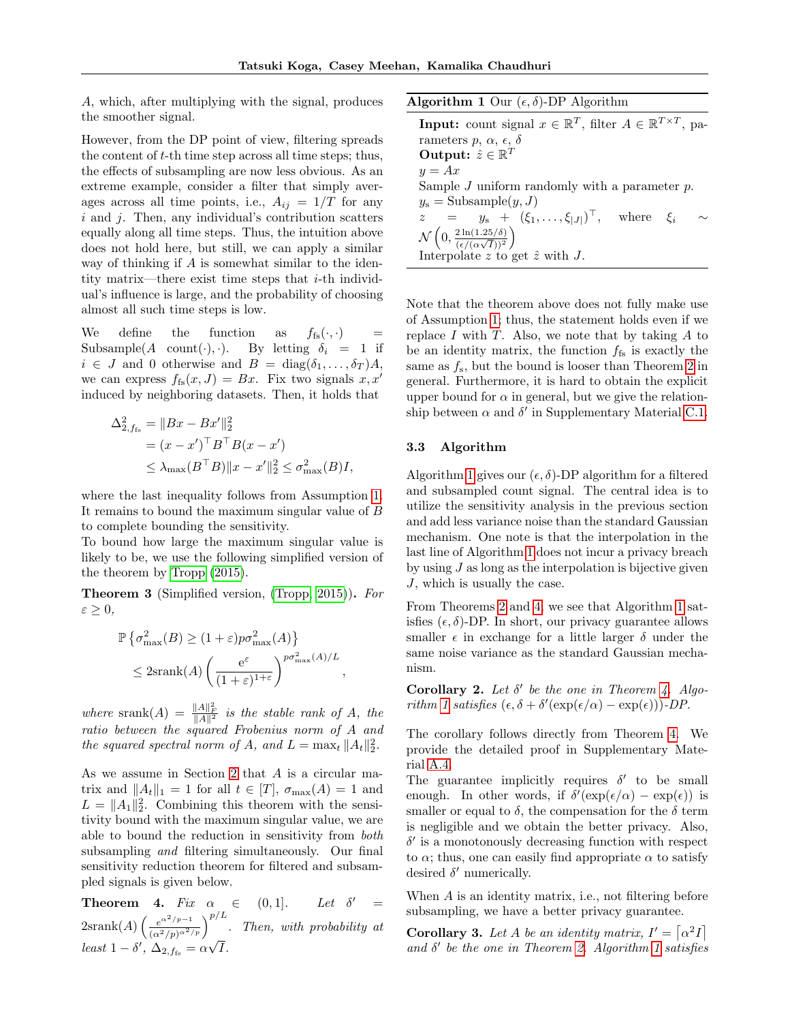A, which, after multiplying with the signal, produces the smoother signal.

However, from the DP point of view, filtering spreads the content of t-th time step across all time steps; thus, the effects of subsampling are now less obvious. As an extreme example, consider a filter that simply averages across all time points, i.e.,  $A_{ij} = 1/T$  for any  $i$  and  $j$ . Then, any individual's contribution scatters equally along all time steps. Thus, the intuition above does not hold here, but still, we can apply a similar way of thinking if A is somewhat similar to the identity matrix—there exist time steps that i-th individual's influence is large, and the probability of choosing almost all such time steps is low.

We define the function as  $f_{fs}(\cdot, \cdot)$  = Subsample(A count(·), ·). By letting  $\delta_i = 1$  if  $i \in J$  and 0 otherwise and  $B = \text{diag}(\delta_1, \ldots, \delta_T)A$ , we can express  $f_{fs}(x, J) = Bx$ . Fix two signals  $x, x'$ induced by neighboring datasets. Then, it holds that

$$
\Delta_{2, f_{\text{fs}}}^2 = \|Bx - Bx'\|_2^2
$$
  
=  $(x - x')^\top B^\top B (x - x')$   
 $\leq \lambda_{\text{max}} (B^\top B) \|x - x'\|_2^2 \leq \sigma_{\text{max}}^2(B)I,$ 

where the last inequality follows from Assumption [1.](#page-3-0) It remains to bound the maximum singular value of B to complete bounding the sensitivity.

To bound how large the maximum singular value is likely to be, we use the following simplified version of the theorem by [Tropp](#page-9-6) [\(2015\)](#page-9-6).

Theorem 3 (Simplified version, [\(Tropp, 2015\)](#page-9-6)). For  $\varepsilon \geq 0,$ 

$$
\mathbb{P}\left\{\sigma_{\max}^2(B) \ge (1+\varepsilon)p\sigma_{\max}^2(A)\right\}
$$
  

$$
\le 2\text{srank}(A)\left(\frac{e^{\varepsilon}}{(1+\varepsilon)^{1+\varepsilon}}\right)^{p\sigma_{\max}^2(A)/L},
$$

where srank $(A) = \frac{||A||_F^2}{||A||^2}$  is the stable rank of A, the ratio between the squared Frobenius norm of A and the squared spectral norm of A, and  $L = \max_t ||A_t||_2^2$ .

As we assume in Section [2](#page-2-0) that A is a circular matrix and  $||A_t||_1 = 1$  for all  $t \in [T]$ ,  $\sigma_{\text{max}}(A) = 1$  and  $L = ||A_1||_2^2$ . Combining this theorem with the sensitivity bound with the maximum singular value, we are able to bound the reduction in sensitivity from both subsampling and filtering simultaneously. Our final sensitivity reduction theorem for filtered and subsampled signals is given below.

<span id="page-4-1"></span>**Theorem 4.** Fix  $\alpha_i \in (0,1]$ . Let  $\delta' =$  $2\text{srank}(A) \left(\frac{e^{\alpha^2/p-1}}{(\alpha^2/p)^{\alpha^2/p}}\right)^{p/L}$ . Then, with probability at least  $1 - \delta'$ ,  $\Delta_{2, f_{\text{fs}}} = \alpha \sqrt{I}$ .

<span id="page-4-0"></span>Algorithm 1 Our  $(\epsilon, \delta)$ -DP Algorithm

**Input:** count signal  $x \in \mathbb{R}^T$ , filter  $A \in \mathbb{R}^{T \times T}$ , parameters  $p, \alpha, \epsilon, \delta$ Output:  $\hat{z} \in \mathbb{R}^T$  $y = Ax$ Sample  $J$  uniform randomly with a parameter  $p$ .  $y_s =$ Subsample $(y, J)$  $z = y_{\rm s} + (\xi_1, \ldots, \xi_{|J|})^{\top}$ , where  $\xi_i \sim$  $\mathcal{N}\left(0, \frac{2 \ln(1.25/\delta)}{(\epsilon/(\alpha\sqrt{I}))^2}\right)$  $\frac{2\ln(1.25/\delta)}{(\epsilon/(\alpha\sqrt{I}))^2}$ Interpolate  $z$  to get  $\hat{z}$  with  $J$ .

Note that the theorem above does not fully make use of Assumption [1;](#page-3-0) thus, the statement holds even if we replace  $I$  with  $T$ . Also, we note that by taking  $A$  to be an identity matrix, the function  $f_{fs}$  is exactly the same as  $f_s$ , but the bound is looser than Theorem [2](#page-3-2) in general. Furthermore, it is hard to obtain the explicit upper bound for  $\alpha$  in general, but we give the relationship between  $\alpha$  and  $\delta'$  in Supplementary Material [C.1.](#page-12-0)

### 3.3 Algorithm

Algorithm [1](#page-4-0) gives our  $(\epsilon, \delta)$ -DP algorithm for a filtered and subsampled count signal. The central idea is to utilize the sensitivity analysis in the previous section and add less variance noise than the standard Gaussian mechanism. One note is that the interpolation in the last line of Algorithm [1](#page-4-0) does not incur a privacy breach by using  $J$  as long as the interpolation is bijective given J, which is usually the case.

From Theorems [2](#page-3-2) and [4,](#page-4-1) we see that Algorithm [1](#page-4-0) satisfies  $(\epsilon, \delta)$ -DP. In short, our privacy guarantee allows smaller  $\epsilon$  in exchange for a little larger  $\delta$  under the same noise variance as the standard Gaussian mechanism.

<span id="page-4-2"></span>Corollary 2. Let  $\delta'$  be the one in Theorem [4.](#page-4-1) Algo-rithm [1](#page-4-0) satisfies  $(\epsilon, \delta + \delta'(\exp(\epsilon/\alpha) - \exp(\epsilon)))$ -DP.

The corollary follows directly from Theorem [4.](#page-4-1) We provide the detailed proof in Supplementary Material [A.4.](#page-11-0)

The guarantee implicitly requires  $\delta'$  to be small enough. In other words, if  $\delta'(\exp(\epsilon/\alpha) - \exp(\epsilon))$  is smaller or equal to  $\delta$ , the compensation for the  $\delta$  term is negligible and we obtain the better privacy. Also,  $\delta'$  is a monotonously decreasing function with respect to  $\alpha$ ; thus, one can easily find appropriate  $\alpha$  to satisfy desired  $\delta'$  numerically.

When A is an identity matrix, i.e., not filtering before subsampling, we have a better privacy guarantee.

**Corollary 3.** Let A be an identity matrix,  $I' = \lfloor \alpha^2 I \rfloor$ and  $\delta'$  be the one in Theorem [2.](#page-3-2) Algorithm [1](#page-4-0) satisfies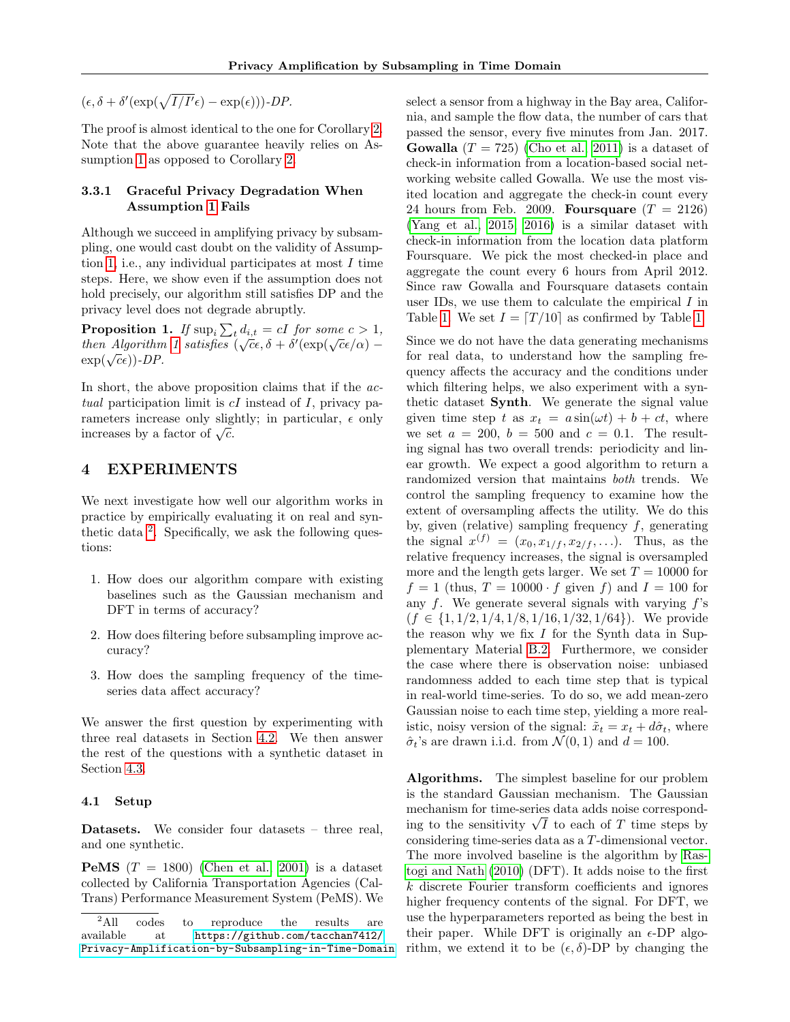$(\epsilon, \delta + \delta'(\exp(\sqrt{I/I'}\epsilon) - \exp(\epsilon)))\text{-}DP.$ 

The proof is almost identical to the one for Corollary [2.](#page-4-2) Note that the above guarantee heavily relies on Assumption [1](#page-3-0) as opposed to Corollary [2.](#page-4-2)

## <span id="page-5-0"></span>3.3.1 Graceful Privacy Degradation When Assumption [1](#page-3-0) Fails

Although we succeed in amplifying privacy by subsampling, one would cast doubt on the validity of Assump-tion [1,](#page-3-0) i.e., any individual participates at most  $I$  time steps. Here, we show even if the assumption does not hold precisely, our algorithm still satisfies DP and the privacy level does not degrade abruptly.

**Proposition 1.** If  $\sup_i \sum_t d_{i,t} = cI$  for some  $c > 1$ , then Algorithm [1](#page-4-0) satisfies  $(\sqrt{c}\epsilon, \delta + \delta'(\exp(\sqrt{c}\epsilon/\alpha))$  $\exp(\sqrt{c}\epsilon)$ )-DP.

In short, the above proposition claims that if the *ac*tual participation limit is  $cI$  instead of  $I$ , privacy parameters increase only slightly; in particular,  $\epsilon$  only increases by a factor of  $\sqrt{c}$ .

## 4 EXPERIMENTS

We next investigate how well our algorithm works in practice by empirically evaluating it on real and syn-thetic data <sup>[2](#page-5-1)</sup>. Specifically, we ask the following questions:

- 1. How does our algorithm compare with existing baselines such as the Gaussian mechanism and DFT in terms of accuracy?
- 2. How does filtering before subsampling improve accuracy?
- 3. How does the sampling frequency of the timeseries data affect accuracy?

We answer the first question by experimenting with three real datasets in Section [4.2.](#page-6-0) We then answer the rest of the questions with a synthetic dataset in Section [4.3.](#page-6-1)

#### 4.1 Setup

Datasets. We consider four datasets – three real, and one synthetic.

**PeMS**  $(T = 1800)$  [\(Chen et al., 2001\)](#page-8-0) is a dataset collected by California Transportation Agencies (Cal-Trans) Performance Measurement System (PeMS). We select a sensor from a highway in the Bay area, California, and sample the flow data, the number of cars that passed the sensor, every five minutes from Jan. 2017. **Gowalla**  $(T = 725)$  [\(Cho et al., 2011\)](#page-8-15) is a dataset of check-in information from a location-based social networking website called Gowalla. We use the most visited location and aggregate the check-in count every 24 hours from Feb. 2009. Foursquare  $(T = 2126)$ [\(Yang et al., 2015,](#page-9-4) [2016\)](#page-9-5) is a similar dataset with check-in information from the location data platform Foursquare. We pick the most checked-in place and aggregate the count every 6 hours from April 2012. Since raw Gowalla and Foursquare datasets contain user IDs, we use them to calculate the empirical I in Table [1.](#page-3-1) We set  $I = \lfloor T/10 \rfloor$  as confirmed by Table 1.

Since we do not have the data generating mechanisms for real data, to understand how the sampling frequency affects the accuracy and the conditions under which filtering helps, we also experiment with a synthetic dataset Synth. We generate the signal value given time step t as  $x_t = a \sin(\omega t) + b + ct$ , where we set  $a = 200$ ,  $b = 500$  and  $c = 0.1$ . The resulting signal has two overall trends: periodicity and linear growth. We expect a good algorithm to return a randomized version that maintains both trends. We control the sampling frequency to examine how the extent of oversampling affects the utility. We do this by, given (relative) sampling frequency  $f$ , generating the signal  $x^{(f)} = (x_0, x_{1/f}, x_{2/f}, \ldots)$ . Thus, as the relative frequency increases, the signal is oversampled more and the length gets larger. We set  $T = 10000$  for  $f = 1$  (thus,  $T = 10000 \cdot f$  given f) and  $I = 100$  for any  $f$ . We generate several signals with varying  $f$ 's  $(f \in \{1, 1/2, 1/4, 1/8, 1/16, 1/32, 1/64\})$ . We provide the reason why we fix  $I$  for the Synth data in Supplementary Material [B.2.](#page-12-1) Furthermore, we consider the case where there is observation noise: unbiased randomness added to each time step that is typical in real-world time-series. To do so, we add mean-zero Gaussian noise to each time step, yielding a more realistic, noisy version of the signal:  $\tilde{x}_t = x_t + d\hat{\sigma}_t$ , where  $\hat{\sigma}_t$ 's are drawn i.i.d. from  $\mathcal{N}(0, 1)$  and  $d = 100$ .

Algorithms. The simplest baseline for our problem is the standard Gaussian mechanism. The Gaussian mechanism for time-series data adds noise corresponding to the sensitivity  $\sqrt{I}$  to each of T time steps by considering time-series data as a T-dimensional vector. The more involved baseline is the algorithm by [Ras](#page-9-0)[togi and Nath](#page-9-0) [\(2010\)](#page-9-0) (DFT). It adds noise to the first k discrete Fourier transform coefficients and ignores higher frequency contents of the signal. For DFT, we use the hyperparameters reported as being the best in their paper. While DFT is originally an  $\epsilon$ -DP algorithm, we extend it to be  $(\epsilon, \delta)$ -DP by changing the

<span id="page-5-1"></span><sup>&</sup>lt;sup>2</sup>All codes to reproduce the results are available at [https://github.com/tacchan7412/](https://github.com/tacchan7412/Privacy-Amplification-by-Subsampling-in-Time-Domain) [Privacy-Amplification-by-Subsampling-in-Time-Domain](https://github.com/tacchan7412/Privacy-Amplification-by-Subsampling-in-Time-Domain)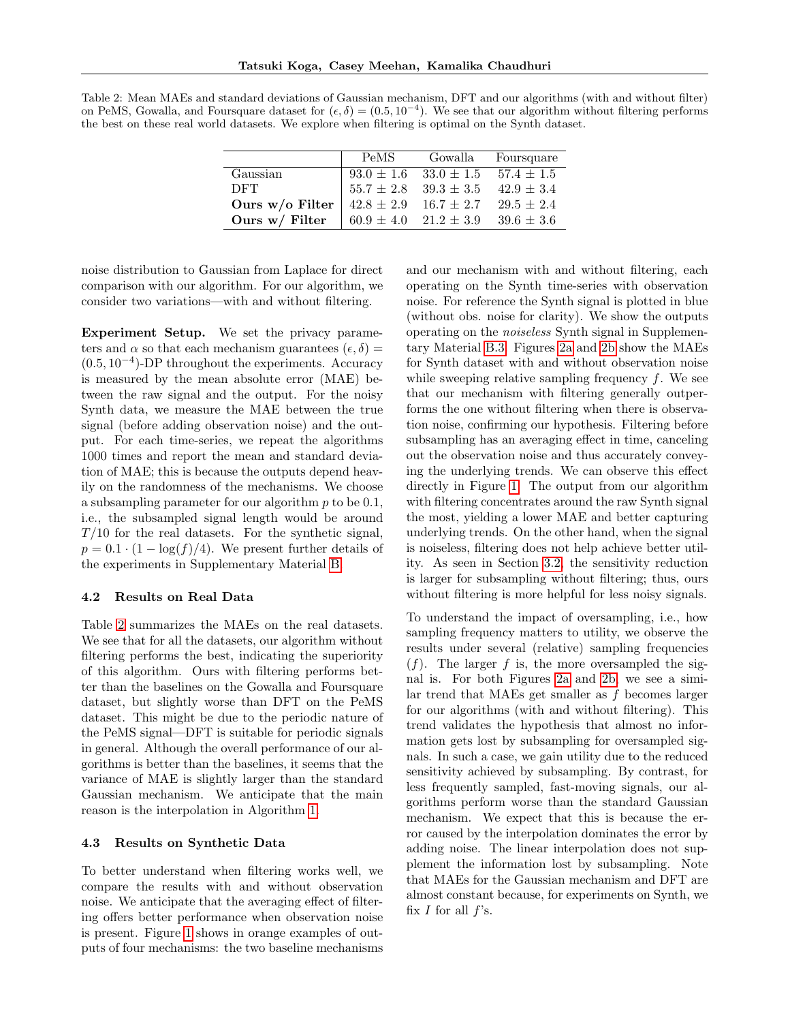<span id="page-6-2"></span>Table 2: Mean MAEs and standard deviations of Gaussian mechanism, DFT and our algorithms (with and without filter) on PeMS, Gowalla, and Foursquare dataset for  $(\epsilon, \delta) = (0.5, 10^{-4})$ . We see that our algorithm without filtering performs the best on these real world datasets. We explore when filtering is optimal on the Synth dataset.

|                 | PeMS           | Gowalla                                      | Foursquare |
|-----------------|----------------|----------------------------------------------|------------|
| Gaussian        |                | $93.0 \pm 1.6$ $33.0 \pm 1.5$ $57.4 \pm 1.5$ |            |
| <b>DFT</b>      | $55.7 \pm 2.8$ | $39.3 \pm 3.5$ $42.9 \pm 3.4$                |            |
| Ours w/o Filter |                | $42.8 \pm 2.9$ $16.7 \pm 2.7$ $29.5 \pm 2.4$ |            |
| Ours w/ Filter  |                | $60.9 \pm 4.0$ $21.2 \pm 3.9$ $39.6 \pm 3.6$ |            |

noise distribution to Gaussian from Laplace for direct comparison with our algorithm. For our algorithm, we consider two variations—with and without filtering.

Experiment Setup. We set the privacy parameters and  $\alpha$  so that each mechanism guarantees  $(\epsilon, \delta)$  = (0.5, 10<sup>−</sup><sup>4</sup> )-DP throughout the experiments. Accuracy is measured by the mean absolute error (MAE) between the raw signal and the output. For the noisy Synth data, we measure the MAE between the true signal (before adding observation noise) and the output. For each time-series, we repeat the algorithms 1000 times and report the mean and standard deviation of MAE; this is because the outputs depend heavily on the randomness of the mechanisms. We choose a subsampling parameter for our algorithm  $p$  to be 0.1, i.e., the subsampled signal length would be around  $T/10$  for the real datasets. For the synthetic signal,  $p = 0.1 \cdot (1 - \log(f)/4)$ . We present further details of the experiments in Supplementary Material [B.](#page-12-2)

#### <span id="page-6-0"></span>4.2 Results on Real Data

Table [2](#page-6-2) summarizes the MAEs on the real datasets. We see that for all the datasets, our algorithm without filtering performs the best, indicating the superiority of this algorithm. Ours with filtering performs better than the baselines on the Gowalla and Foursquare dataset, but slightly worse than DFT on the PeMS dataset. This might be due to the periodic nature of the PeMS signal—DFT is suitable for periodic signals in general. Although the overall performance of our algorithms is better than the baselines, it seems that the variance of MAE is slightly larger than the standard Gaussian mechanism. We anticipate that the main reason is the interpolation in Algorithm [1.](#page-4-0)

#### <span id="page-6-1"></span>4.3 Results on Synthetic Data

To better understand when filtering works well, we compare the results with and without observation noise. We anticipate that the averaging effect of filtering offers better performance when observation noise is present. Figure [1](#page-7-0) shows in orange examples of outputs of four mechanisms: the two baseline mechanisms and our mechanism with and without filtering, each operating on the Synth time-series with observation noise. For reference the Synth signal is plotted in blue (without obs. noise for clarity). We show the outputs operating on the noiseless Synth signal in Supplementary Material [B.3.](#page-12-3) Figures [2a](#page-7-1) and [2b](#page-7-1) show the MAEs for Synth dataset with and without observation noise while sweeping relative sampling frequency f. We see that our mechanism with filtering generally outperforms the one without filtering when there is observation noise, confirming our hypothesis. Filtering before subsampling has an averaging effect in time, canceling out the observation noise and thus accurately conveying the underlying trends. We can observe this effect directly in Figure [1.](#page-7-0) The output from our algorithm with filtering concentrates around the raw Synth signal the most, yielding a lower MAE and better capturing underlying trends. On the other hand, when the signal is noiseless, filtering does not help achieve better utility. As seen in Section [3.2,](#page-3-3) the sensitivity reduction is larger for subsampling without filtering; thus, ours without filtering is more helpful for less noisy signals.

To understand the impact of oversampling, i.e., how sampling frequency matters to utility, we observe the results under several (relative) sampling frequencies  $(f)$ . The larger f is, the more oversampled the signal is. For both Figures [2a](#page-7-1) and [2b,](#page-7-1) we see a similar trend that MAEs get smaller as f becomes larger for our algorithms (with and without filtering). This trend validates the hypothesis that almost no information gets lost by subsampling for oversampled signals. In such a case, we gain utility due to the reduced sensitivity achieved by subsampling. By contrast, for less frequently sampled, fast-moving signals, our algorithms perform worse than the standard Gaussian mechanism. We expect that this is because the error caused by the interpolation dominates the error by adding noise. The linear interpolation does not supplement the information lost by subsampling. Note that MAEs for the Gaussian mechanism and DFT are almost constant because, for experiments on Synth, we fix  $I$  for all  $f$ 's.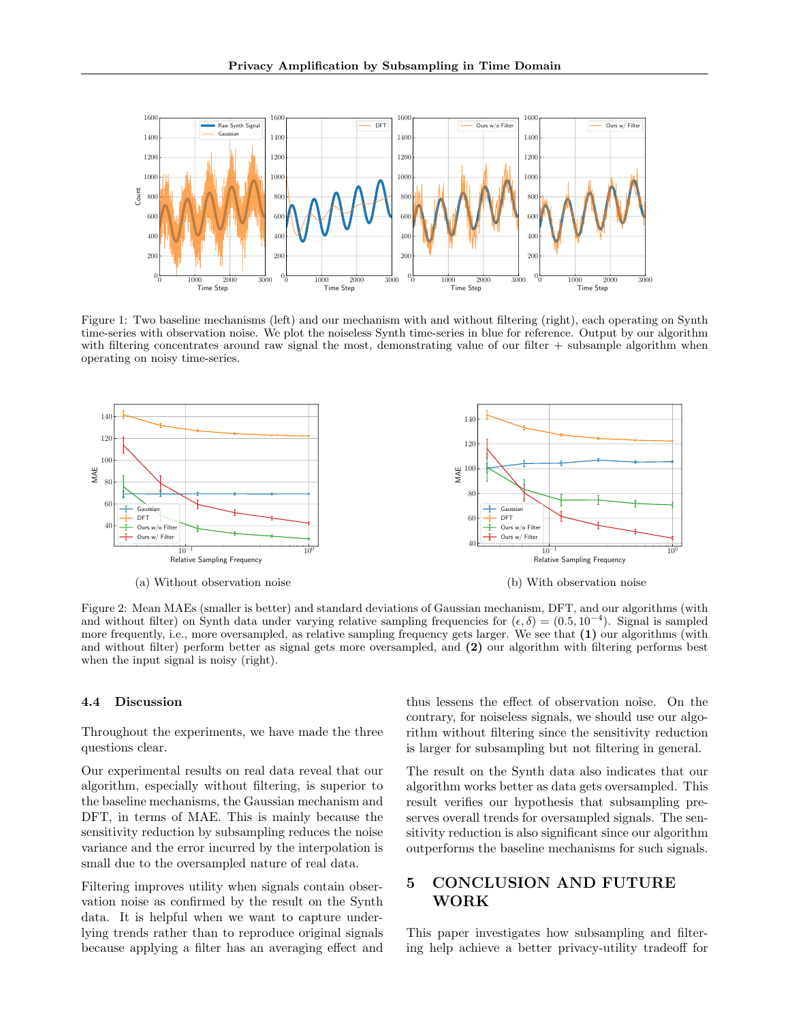<span id="page-7-0"></span>

Figure 1: Two baseline mechanisms (left) and our mechanism with and without filtering (right), each operating on Synth time-series with observation noise. We plot the noiseless Synth time-series in blue for reference. Output by our algorithm with filtering concentrates around raw signal the most, demonstrating value of our filter + subsample algorithm when operating on noisy time-series.

<span id="page-7-1"></span>

Figure 2: Mean MAEs (smaller is better) and standard deviations of Gaussian mechanism, DFT, and our algorithms (with and without filter) on Synth data under varying relative sampling frequencies for  $(\epsilon, \delta) = (0.5, 10^{-4})$ . Signal is sampled more frequently, i.e., more oversampled, as relative sampling frequency gets larger. We see that (1) our algorithms (with and without filter) perform better as signal gets more oversampled, and (2) our algorithm with filtering performs best when the input signal is noisy (right).

#### 4.4 Discussion

Throughout the experiments, we have made the three questions clear.

Our experimental results on real data reveal that our algorithm, especially without filtering, is superior to the baseline mechanisms, the Gaussian mechanism and DFT, in terms of MAE. This is mainly because the sensitivity reduction by subsampling reduces the noise variance and the error incurred by the interpolation is small due to the oversampled nature of real data.

Filtering improves utility when signals contain observation noise as confirmed by the result on the Synth data. It is helpful when we want to capture underlying trends rather than to reproduce original signals because applying a filter has an averaging effect and thus lessens the effect of observation noise. On the contrary, for noiseless signals, we should use our algorithm without filtering since the sensitivity reduction is larger for subsampling but not filtering in general.

The result on the Synth data also indicates that our algorithm works better as data gets oversampled. This result verifies our hypothesis that subsampling preserves overall trends for oversampled signals. The sensitivity reduction is also significant since our algorithm outperforms the baseline mechanisms for such signals.

## 5 CONCLUSION AND FUTURE WORK

This paper investigates how subsampling and filtering help achieve a better privacy-utility tradeoff for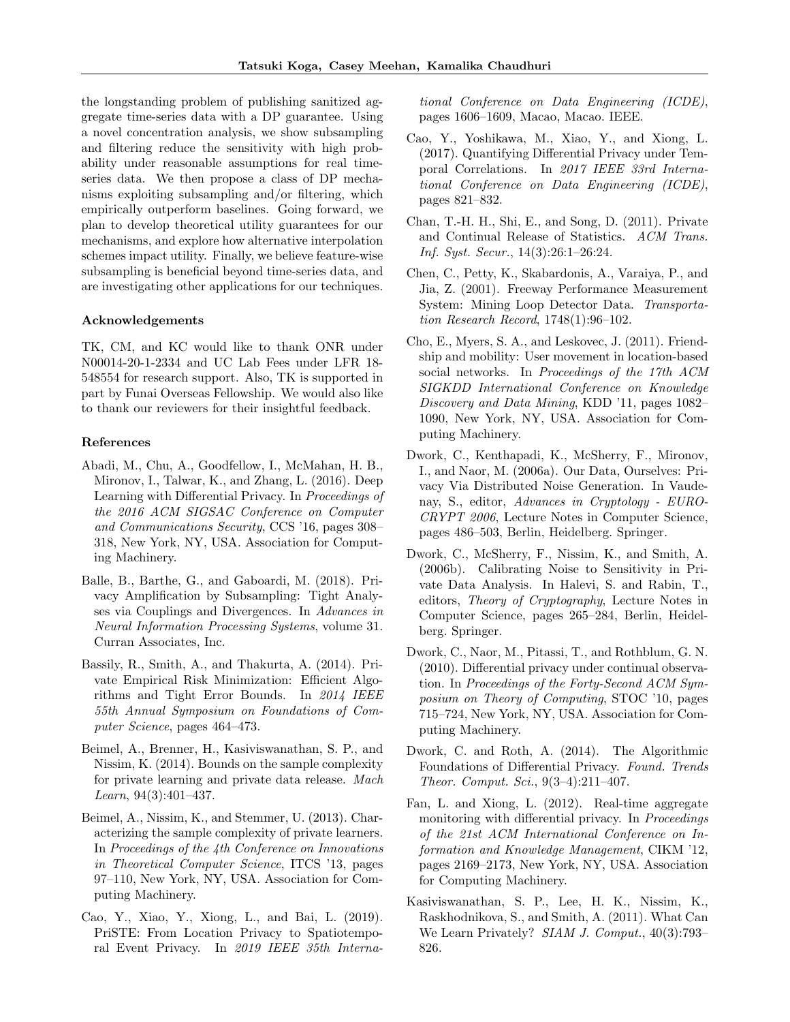the longstanding problem of publishing sanitized aggregate time-series data with a DP guarantee. Using a novel concentration analysis, we show subsampling and filtering reduce the sensitivity with high probability under reasonable assumptions for real timeseries data. We then propose a class of DP mechanisms exploiting subsampling and/or filtering, which empirically outperform baselines. Going forward, we plan to develop theoretical utility guarantees for our mechanisms, and explore how alternative interpolation schemes impact utility. Finally, we believe feature-wise subsampling is beneficial beyond time-series data, and are investigating other applications for our techniques.

#### Acknowledgements

TK, CM, and KC would like to thank ONR under N00014-20-1-2334 and UC Lab Fees under LFR 18- 548554 for research support. Also, TK is supported in part by Funai Overseas Fellowship. We would also like to thank our reviewers for their insightful feedback.

#### References

- <span id="page-8-7"></span>Abadi, M., Chu, A., Goodfellow, I., McMahan, H. B., Mironov, I., Talwar, K., and Zhang, L. (2016). Deep Learning with Differential Privacy. In Proceedings of the 2016 ACM SIGSAC Conference on Computer and Communications Security, CCS '16, pages 308– 318, New York, NY, USA. Association for Computing Machinery.
- <span id="page-8-8"></span>Balle, B., Barthe, G., and Gaboardi, M. (2018). Privacy Amplification by Subsampling: Tight Analyses via Couplings and Divergences. In Advances in Neural Information Processing Systems, volume 31. Curran Associates, Inc.
- <span id="page-8-6"></span>Bassily, R., Smith, A., and Thakurta, A. (2014). Private Empirical Risk Minimization: Efficient Algorithms and Tight Error Bounds. In 2014 IEEE 55th Annual Symposium on Foundations of Computer Science, pages 464–473.
- <span id="page-8-4"></span>Beimel, A., Brenner, H., Kasiviswanathan, S. P., and Nissim, K. (2014). Bounds on the sample complexity for private learning and private data release. Mach Learn, 94(3):401–437.
- <span id="page-8-5"></span>Beimel, A., Nissim, K., and Stemmer, U. (2013). Characterizing the sample complexity of private learners. In Proceedings of the 4th Conference on Innovations in Theoretical Computer Science, ITCS '13, pages 97–110, New York, NY, USA. Association for Computing Machinery.
- <span id="page-8-13"></span>Cao, Y., Xiao, Y., Xiong, L., and Bai, L. (2019). PriSTE: From Location Privacy to Spatiotemporal Event Privacy. In 2019 IEEE 35th Interna-

tional Conference on Data Engineering (ICDE), pages 1606–1609, Macao, Macao. IEEE.

- <span id="page-8-12"></span>Cao, Y., Yoshikawa, M., Xiao, Y., and Xiong, L. (2017). Quantifying Differential Privacy under Temporal Correlations. In 2017 IEEE 33rd International Conference on Data Engineering (ICDE), pages 821–832.
- <span id="page-8-11"></span>Chan, T.-H. H., Shi, E., and Song, D. (2011). Private and Continual Release of Statistics. ACM Trans. Inf. Syst. Secur., 14(3):26:1–26:24.
- <span id="page-8-0"></span>Chen, C., Petty, K., Skabardonis, A., Varaiya, P., and Jia, Z. (2001). Freeway Performance Measurement System: Mining Loop Detector Data. Transportation Research Record, 1748(1):96–102.
- <span id="page-8-15"></span>Cho, E., Myers, S. A., and Leskovec, J. (2011). Friendship and mobility: User movement in location-based social networks. In Proceedings of the 17th ACM SIGKDD International Conference on Knowledge Discovery and Data Mining, KDD '11, pages 1082– 1090, New York, NY, USA. Association for Computing Machinery.
- <span id="page-8-14"></span>Dwork, C., Kenthapadi, K., McSherry, F., Mironov, I., and Naor, M. (2006a). Our Data, Ourselves: Privacy Via Distributed Noise Generation. In Vaudenay, S., editor, Advances in Cryptology - EURO-CRYPT 2006, Lecture Notes in Computer Science, pages 486–503, Berlin, Heidelberg. Springer.
- <span id="page-8-1"></span>Dwork, C., McSherry, F., Nissim, K., and Smith, A. (2006b). Calibrating Noise to Sensitivity in Private Data Analysis. In Halevi, S. and Rabin, T., editors, Theory of Cryptography, Lecture Notes in Computer Science, pages 265–284, Berlin, Heidelberg. Springer.
- <span id="page-8-10"></span>Dwork, C., Naor, M., Pitassi, T., and Rothblum, G. N. (2010). Differential privacy under continual observation. In Proceedings of the Forty-Second ACM Symposium on Theory of Computing, STOC '10, pages 715–724, New York, NY, USA. Association for Computing Machinery.
- <span id="page-8-2"></span>Dwork, C. and Roth, A. (2014). The Algorithmic Foundations of Differential Privacy. Found. Trends Theor. Comput. Sci., 9(3–4):211–407.
- <span id="page-8-9"></span>Fan, L. and Xiong, L. (2012). Real-time aggregate monitoring with differential privacy. In Proceedings of the 21st ACM International Conference on Information and Knowledge Management, CIKM '12, pages 2169–2173, New York, NY, USA. Association for Computing Machinery.
- <span id="page-8-3"></span>Kasiviswanathan, S. P., Lee, H. K., Nissim, K., Raskhodnikova, S., and Smith, A. (2011). What Can We Learn Privately? SIAM J. Comput., 40(3):793– 826.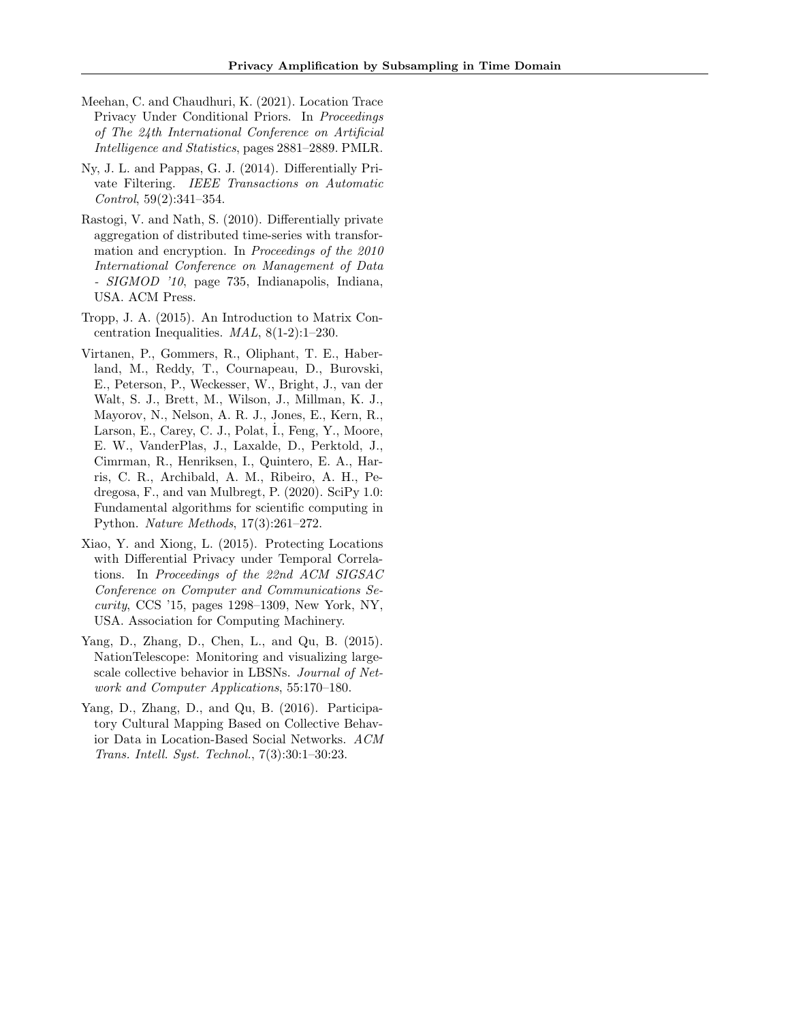- <span id="page-9-3"></span>Meehan, C. and Chaudhuri, K. (2021). Location Trace Privacy Under Conditional Priors. In Proceedings of The 24th International Conference on Artificial Intelligence and Statistics, pages 2881–2889. PMLR.
- <span id="page-9-1"></span>Ny, J. L. and Pappas, G. J. (2014). Differentially Private Filtering. IEEE Transactions on Automatic Control, 59(2):341–354.
- <span id="page-9-0"></span>Rastogi, V. and Nath, S. (2010). Differentially private aggregation of distributed time-series with transformation and encryption. In Proceedings of the 2010 International Conference on Management of Data - SIGMOD '10, page 735, Indianapolis, Indiana, USA. ACM Press.
- <span id="page-9-6"></span>Tropp, J. A. (2015). An Introduction to Matrix Concentration Inequalities. MAL, 8(1-2):1–230.
- <span id="page-9-7"></span>Virtanen, P., Gommers, R., Oliphant, T. E., Haberland, M., Reddy, T., Cournapeau, D., Burovski, E., Peterson, P., Weckesser, W., Bright, J., van der Walt, S. J., Brett, M., Wilson, J., Millman, K. J., Mayorov, N., Nelson, A. R. J., Jones, E., Kern, R., Larson, E., Carey, C. J., Polat, I., Feng, Y., Moore, E. W., VanderPlas, J., Laxalde, D., Perktold, J., Cimrman, R., Henriksen, I., Quintero, E. A., Harris, C. R., Archibald, A. M., Ribeiro, A. H., Pedregosa, F., and van Mulbregt, P. (2020). SciPy 1.0: Fundamental algorithms for scientific computing in Python. Nature Methods, 17(3):261–272.
- <span id="page-9-2"></span>Xiao, Y. and Xiong, L. (2015). Protecting Locations with Differential Privacy under Temporal Correlations. In Proceedings of the 22nd ACM SIGSAC Conference on Computer and Communications Security, CCS '15, pages 1298–1309, New York, NY, USA. Association for Computing Machinery.
- <span id="page-9-4"></span>Yang, D., Zhang, D., Chen, L., and Qu, B. (2015). NationTelescope: Monitoring and visualizing largescale collective behavior in LBSNs. Journal of Network and Computer Applications, 55:170–180.
- <span id="page-9-5"></span>Yang, D., Zhang, D., and Qu, B. (2016). Participatory Cultural Mapping Based on Collective Behavior Data in Location-Based Social Networks. ACM Trans. Intell. Syst. Technol., 7(3):30:1–30:23.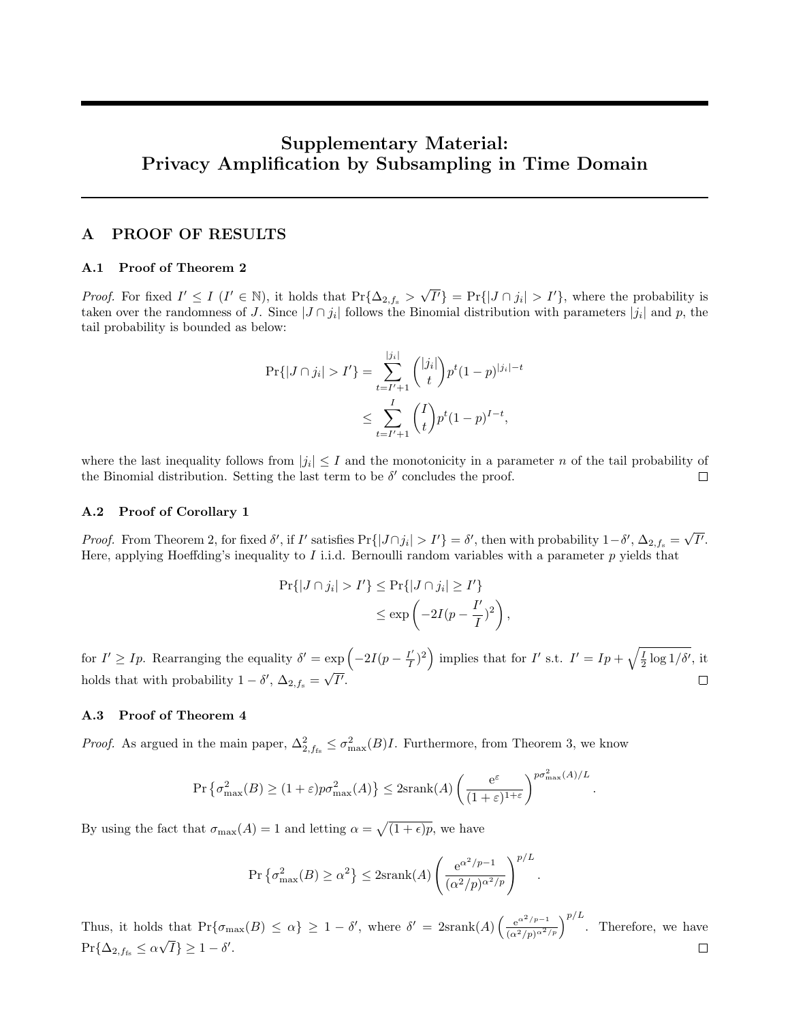# Supplementary Material: Privacy Amplification by Subsampling in Time Domain

## A PROOF OF RESULTS

#### A.1 Proof of Theorem 2

*Proof.* For fixed  $I' \leq I$  ( $I' \in \mathbb{N}$ ), it holds that  $\Pr{\Delta_{2,f_s} > \sqrt{I'}\} = \Pr{\{|J \cap j_i| > I'\}}$ , where the probability is taken over the randomness of J. Since  $|J \cap j_i|$  follows the Binomial distribution with parameters  $|j_i|$  and p, the tail probability is bounded as below:

$$
\Pr\{|J \cap j_i| > I'\} = \sum_{t=I'+1}^{|j_i|} \binom{|j_i|}{t} p^t (1-p)^{|j_i|-t}
$$
  

$$
\leq \sum_{t=I'+1}^I \binom{I}{t} p^t (1-p)^{I-t},
$$

where the last inequality follows from  $|j_i| \leq I$  and the monotonicity in a parameter n of the tail probability of the Binomial distribution. Setting the last term to be  $\delta'$  concludes the proof.

## A.2 Proof of Corollary 1

Proof. From Theorem 2, for fixed  $\delta'$ , if I' satisfies Pr{ $|J \cap j_i| > I'$ } =  $\delta'$ , then with probability  $1-\delta'$ ,  $\Delta_{2,f_s} = \sqrt{I'}$ . Here, applying Hoeffding's inequality to  $I$  i.i.d. Bernoulli random variables with a parameter  $p$  yields that

$$
\Pr\{|J \cap j_i| > I'\} \le \Pr\{|J \cap j_i| \ge I'\}
$$
  

$$
\le \exp\left(-2I(p - \frac{I'}{I})^2\right)
$$

,

.

 $\left(\frac{I'}{I}\right)^2$  implies that for I' s.t.  $I' = Ip + \sqrt{\frac{I}{2} \log 1/\delta'}$ , it for  $I' \geq I_p$ . Rearranging the equality  $\delta' = \exp\left(-2I(p - \frac{I'}{I})\right)$ holds that with probability  $1 - \delta'$ ,  $\Delta_{2, f_s} = \sqrt{I'}$ .  $\Box$ 

#### A.3 Proof of Theorem 4

*Proof.* As argued in the main paper,  $\Delta^2_{2,f_{\text{fs}}} \leq \sigma^2_{\text{max}}(B)I$ . Furthermore, from Theorem 3, we know

$$
\Pr\left\{\sigma^2_{\max}(B) \ge (1+\varepsilon)p\sigma^2_{\max}(A)\right\} \le 2\text{srank}(A)\left(\frac{e^{\varepsilon}}{(1+\varepsilon)^{1+\varepsilon}}\right)^{p\sigma^2_{\max}(A)/L}
$$

By using the fact that  $\sigma_{\max}(A) = 1$  and letting  $\alpha = \sqrt{(1 + \epsilon)p}$ , we have

$$
\Pr\left\{\sigma_{\max}^2(B) \ge \alpha^2\right\} \le 2\mathrm{srank}(A) \left(\frac{e^{\alpha^2/p - 1}}{(\alpha^2/p)^{\alpha^2/p}}\right)^{p/L}.
$$

Thus, it holds that  $Pr{\{\sigma_{\max}(B) \leq \alpha\}} \geq 1 - \delta'$ , where  $\delta' = 2\text{srank}(A) \left(\frac{e^{\alpha^2/p-1}}{(\alpha^2/p)^{\alpha^2/p}}\right)^{p/L}$ . Therefore, we have  $Pr{\{\Delta_{2, f_{fs}} \le \alpha\sqrt{I}\}} \ge 1 - \delta'.$  $\Box$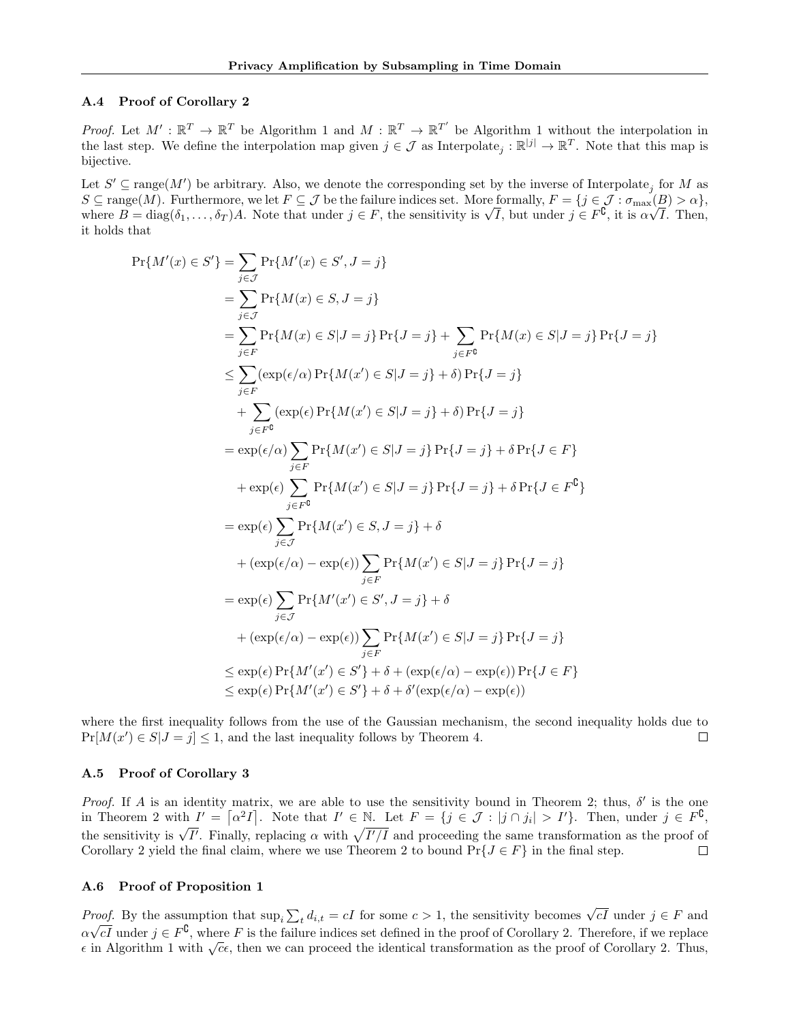## <span id="page-11-0"></span>A.4 Proof of Corollary 2

*Proof.* Let  $M' : \mathbb{R}^T \to \mathbb{R}^T$  be Algorithm 1 and  $M : \mathbb{R}^T \to \mathbb{R}^{T'}$  be Algorithm 1 without the interpolation in the last step. We define the interpolation map given  $j \in \mathcal{J}$  as Interpolate<sub>j</sub>:  $\mathbb{R}^{|j|} \to \mathbb{R}^T$ . Note that this map is bijective.

Let  $S' \subseteq \text{range}(M')$  be arbitrary. Also, we denote the corresponding set by the inverse of Interpolate<sub>j</sub> for M as  $S \subseteq \text{range}(M)$ . Furthermore, we let  $F \subseteq \mathcal{J}$  be the failure indices set. More formally,  $F = \{j \in \mathcal{J} : \sigma_{\text{max}}(B) > \alpha\}$ ,<br>where  $B = \text{diag}(\delta_1, \dots, \delta_T)A$ . Note that under  $j \in F$ , the sensitivity is  $\sqrt{I}$ , but under  $j \in F^$ it holds that

$$
\Pr\{M'(x) \in S'\} = \sum_{j \in J} \Pr\{M(x) \in S, J = j\}
$$
\n
$$
= \sum_{j \in J} \Pr\{M(x) \in S, J = j\} \Pr\{J = j\} + \sum_{j \in F^0} \Pr\{M(x) \in S | J = j\} \Pr\{J = j\}
$$
\n
$$
\leq \sum_{j \in F} (\exp(\epsilon/\alpha) \Pr\{M(x') \in S | J = j\} + \delta) \Pr\{J = j\}
$$
\n
$$
+ \sum_{j \in F^0} (\exp(\epsilon/\alpha) \Pr\{M(x') \in S | J = j\} + \delta) \Pr\{J = j\}
$$
\n
$$
+ \sum_{j \in F^0} (\exp(\epsilon) \Pr\{M(x') \in S | J = j\} + \delta) \Pr\{J = j\}
$$
\n
$$
= \exp(\epsilon/\alpha) \sum_{j \in F} \Pr\{M(x') \in S | J = j\} \Pr\{J = j\} + \delta \Pr\{J \in F\}
$$
\n
$$
+ \exp(\epsilon) \sum_{j \in F^0} \Pr\{M(x') \in S | J = j\} \Pr\{J = j\} + \delta \Pr\{J \in F^0\}
$$
\n
$$
= \exp(\epsilon) \sum_{j \in F^0} \Pr\{M(x') \in S, J = j\} + \delta
$$
\n
$$
+ (\exp(\epsilon/\alpha) - \exp(\epsilon)) \sum_{j \in F} \Pr\{M(x') \in S | J = j\} \Pr\{J = j\}
$$
\n
$$
= \exp(\epsilon) \sum_{j \in F} \Pr\{M'(x') \in S', J = j\} + \delta
$$
\n
$$
+ (\exp(\epsilon/\alpha) - \exp(\epsilon)) \sum_{j \in F} \Pr\{M(x') \in S | J = j\} \Pr\{J = j\}
$$
\n
$$
\leq \exp(\epsilon) \Pr\{M'(x') \in S'\} + \delta + (\exp(\epsilon/\alpha) - \exp(\epsilon)) \Pr\{J \in F\}
$$
\n
$$
\leq \exp(\epsilon) \Pr\{M'(x') \in S'\} + \delta + \delta'(\exp(\epsilon/\alpha) - \exp(\epsilon)) \Pr\{J \in F\}
$$

where the first inequality follows from the use of the Gaussian mechanism, the second inequality holds due to  $Pr[M(x') \in S | J = j] \leq 1$ , and the last inequality follows by Theorem 4.  $\Box$ 

#### A.5 Proof of Corollary 3

Proof. If A is an identity matrix, we are able to use the sensitivity bound in Theorem 2; thus,  $\delta'$  is the one in Theorem 2 with  $I' = \lceil \alpha^2 I \rceil$ . Note that  $I' \in \mathbb{N}$ . Let  $F = \{j \in \mathcal{J} : |j \cap j_i| > I'\}$ . Then, under  $j \in F^{\complement}$ , the sensitivity is  $\sqrt{I'}$ . Finally, replacing  $\alpha$  with  $\sqrt{I'/I}$  and proceeding the same transformation as the proof of Corollary 2 yield the final claim, where we use Theorem 2 to bound  $Pr{J \in F}$  in the final step.  $\Box$ 

#### A.6 Proof of Proposition 1

Proof. By the assumption that  $\sup_i \sum_t d_{i,t} = cI$  for some  $c > 1$ , the sensitivity becomes  $\sqrt{cI}$  under  $j \in F$  and  $\alpha\sqrt{cI}$  under  $j \in F^0$ , where F is the failure indices set defined in the proof of Corollary 2. Therefore, if we replace  $\epsilon$  in Algorithm 1 with  $\sqrt{c}\epsilon$ , then we can proceed the identical transformation as the proof of Corollary 2. Thus,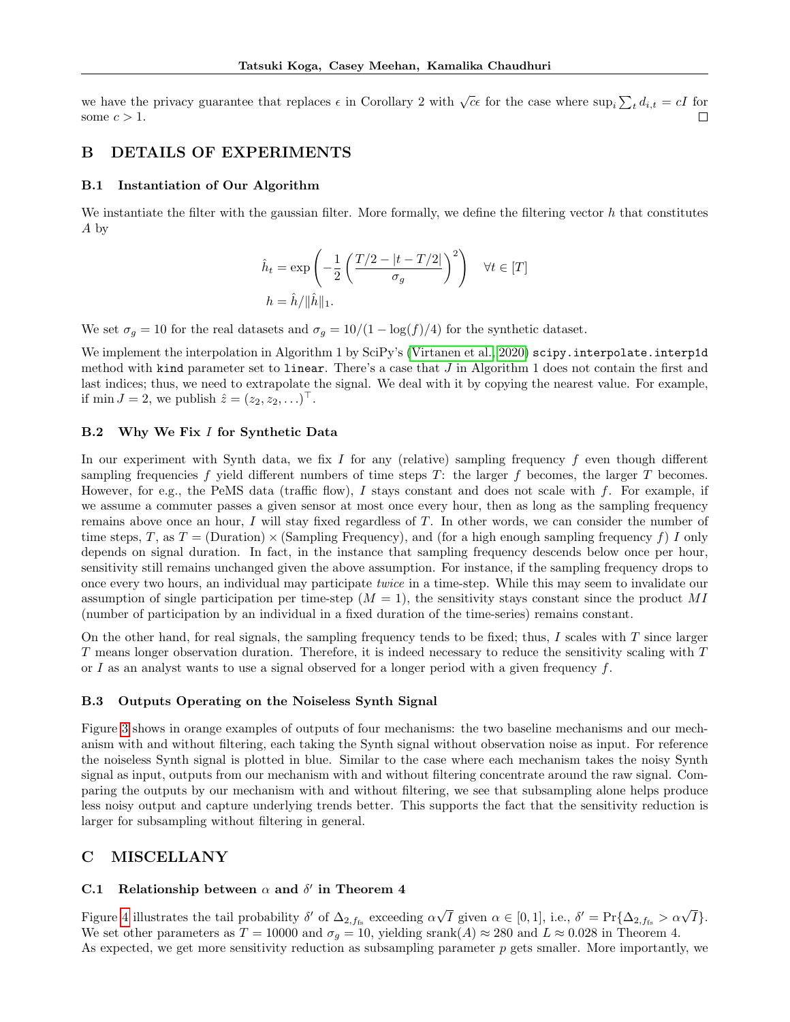we have the privacy guarantee that replaces  $\epsilon$  in Corollary 2 with  $\sqrt{c}\epsilon$  for the case where  $\sup_i \sum_t d_{i,t} = cI$  for some  $c > 1$ .  $\Box$ 

## <span id="page-12-2"></span>B DETAILS OF EXPERIMENTS

#### B.1 Instantiation of Our Algorithm

We instantiate the filter with the gaussian filter. More formally, we define the filtering vector  $h$  that constitutes A by

$$
\hat{h}_t = \exp\left(-\frac{1}{2}\left(\frac{T/2 - |t - T/2|}{\sigma_g}\right)^2\right) \quad \forall t \in [T]
$$

$$
h = \hat{h}/\|\hat{h}\|_1.
$$

We set  $\sigma_g = 10$  for the real datasets and  $\sigma_g = 10/(1 - \log(f)/4)$  for the synthetic dataset.

We implement the interpolation in Algorithm 1 by SciPy's [\(Virtanen et al., 2020\)](#page-9-7) scipy.interpolate.interp1d method with kind parameter set to linear. There's a case that  $J$  in Algorithm 1 does not contain the first and last indices; thus, we need to extrapolate the signal. We deal with it by copying the nearest value. For example, if min  $J = 2$ , we publish  $\hat{z} = (z_2, z_2, \ldots)^\top$ .

## <span id="page-12-1"></span>B.2 Why We Fix I for Synthetic Data

In our experiment with Synth data, we fix I for any (relative) sampling frequency f even though different sampling frequencies f yield different numbers of time steps  $T$ : the larger f becomes, the larger  $T$  becomes. However, for e.g., the PeMS data (traffic flow),  $I$  stays constant and does not scale with  $f$ . For example, if we assume a commuter passes a given sensor at most once every hour, then as long as the sampling frequency remains above once an hour, I will stay fixed regardless of T. In other words, we can consider the number of time steps, T, as  $T = (Duration) \times (Sampling Frequency)$ , and (for a high enough sampling frequency f) I only depends on signal duration. In fact, in the instance that sampling frequency descends below once per hour, sensitivity still remains unchanged given the above assumption. For instance, if the sampling frequency drops to once every two hours, an individual may participate twice in a time-step. While this may seem to invalidate our assumption of single participation per time-step  $(M = 1)$ , the sensitivity stays constant since the product MI (number of participation by an individual in a fixed duration of the time-series) remains constant.

On the other hand, for real signals, the sampling frequency tends to be fixed; thus, I scales with  $T$  since larger T means longer observation duration. Therefore, it is indeed necessary to reduce the sensitivity scaling with T or I as an analyst wants to use a signal observed for a longer period with a given frequency  $f$ .

#### <span id="page-12-3"></span>B.3 Outputs Operating on the Noiseless Synth Signal

Figure [3](#page-13-0) shows in orange examples of outputs of four mechanisms: the two baseline mechanisms and our mechanism with and without filtering, each taking the Synth signal without observation noise as input. For reference the noiseless Synth signal is plotted in blue. Similar to the case where each mechanism takes the noisy Synth signal as input, outputs from our mechanism with and without filtering concentrate around the raw signal. Comparing the outputs by our mechanism with and without filtering, we see that subsampling alone helps produce less noisy output and capture underlying trends better. This supports the fact that the sensitivity reduction is larger for subsampling without filtering in general.

## C MISCELLANY

## <span id="page-12-0"></span>C.1 Relationship between  $\alpha$  and  $\delta'$  in Theorem 4

Figure [4](#page-14-0) illustrates the tail probability  $\delta'$  of  $\Delta_{2,f_{fs}}$  exceeding  $\alpha\sqrt{I}$  given  $\alpha \in [0,1]$ , i.e.,  $\delta' = \Pr{\Delta_{2,f_{fs}}} > \alpha\sqrt{I}$ . We set other parameters as  $T = 10000$  and  $\sigma_q = 10$ , yielding srank $(A) \approx 280$  and  $L \approx 0.028$  in Theorem 4. As expected, we get more sensitivity reduction as subsampling parameter  $p$  gets smaller. More importantly, we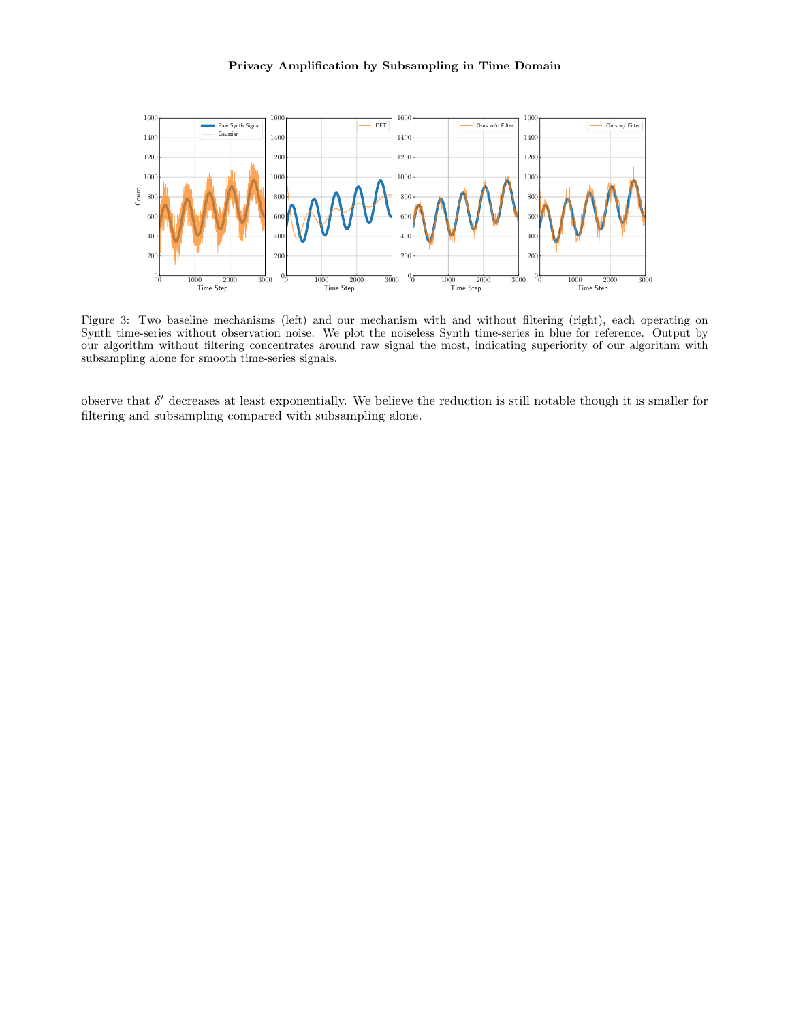<span id="page-13-0"></span>

Figure 3: Two baseline mechanisms (left) and our mechanism with and without filtering (right), each operating on Synth time-series without observation noise. We plot the noiseless Synth time-series in blue for reference. Output by our algorithm without filtering concentrates around raw signal the most, indicating superiority of our algorithm with subsampling alone for smooth time-series signals.

observe that  $\delta'$  decreases at least exponentially. We believe the reduction is still notable though it is smaller for filtering and subsampling compared with subsampling alone.